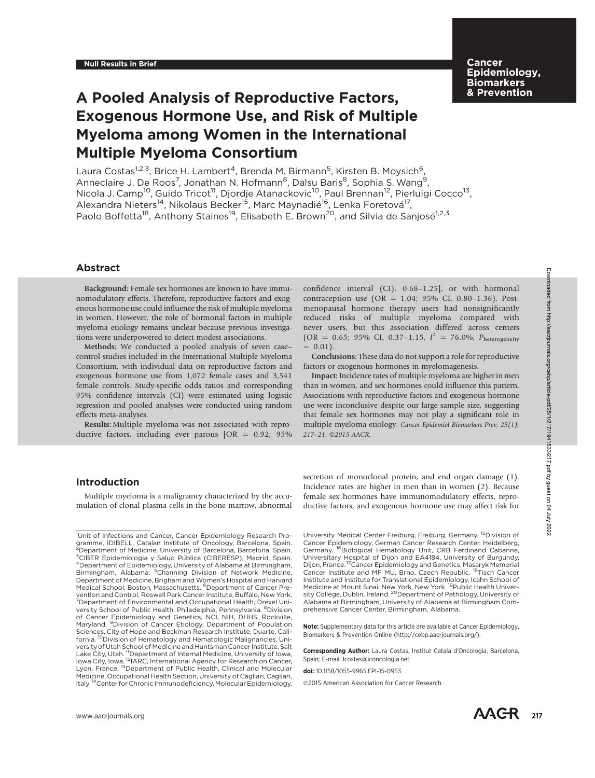## **Cancer** Epidemiology, **Biomarkers** & Prevention

# A Pooled Analysis of Reproductive Factors, Exogenous Hormone Use, and Risk of Multiple Myeloma among Women in the International Multiple Myeloma Consortium

Laura Costas<sup>1,2,3</sup>, Brice H. Lambert<sup>4</sup>, Brenda M. Birmann<sup>5</sup>, Kirsten B. Moysich<sup>6</sup>, Anneclaire J. De Roos<sup>7</sup>, Jonathan N. Hofmann<sup>8</sup>, Dalsu Baris<sup>8</sup>, Sophia S. Wang<sup>9</sup>, Nicola J. Camp<sup>10</sup>, Guido Tricot<sup>11</sup>, Djordje Atanackovic<sup>10</sup>, Paul Brennan<sup>12</sup>, Pierluigi Cocco<sup>13</sup>, Alexandra Nieters<sup>14</sup>, Nikolaus Becker<sup>15</sup>, Marc Maynadié<sup>16</sup>, Lenka Foretová<sup>17</sup>, Paolo Boffetta<sup>18</sup>, Anthony Staines<sup>19</sup>, Elisabeth E. Brown<sup>20</sup>, and Silvia de Saniosé<sup>1,2,3</sup>

## Abstract

Background: Female sex hormones are known to have immunomodulatory effects. Therefore, reproductive factors and exogenous hormone use could influence the risk of multiple myeloma in women. However, the role of hormonal factors in multiple myeloma etiology remains unclear because previous investigations were underpowered to detect modest associations.

Methods: We conducted a pooled analysis of seven case– control studies included in the International Multiple Myeloma Consortium, with individual data on reproductive factors and exogenous hormone use from 1,072 female cases and 3,541 female controls. Study-specific odds ratios and corresponding 95% confidence intervals (CI) were estimated using logistic regression and pooled analyses were conducted using random effects meta-analyses.

Results: Multiple myeloma was not associated with reproductive factors, including ever parous  $[OR = 0.92; 95\%]$  confidence interval (CI), 0.68–1.25], or with hormonal contraception use  $(OR = 1.04; 95\% \text{ CI}, 0.80-1.36)$ . Postmenopausal hormone therapy users had nonsignificantly reduced risks of multiple myeloma compared with never users, but this association differed across centers  $(OR = 0.65; 95\% \text{ CI}, 0.37-1.15, I^2 = 76.0\%, P_{heterogeneity}$  $= 0.01$ .

Conclusions: These data do not support a role for reproductive factors or exogenous hormones in myelomagenesis.

Impact: Incidence rates of multiple myeloma are higher in men than in women, and sex hormones could influence this pattern. Associations with reproductive factors and exogenous hormone use were inconclusive despite our large sample size, suggesting that female sex hormones may not play a significant role in multiple myeloma etiology. Cancer Epidemiol Biomarkers Prev; 25(1); 217-21. 20015 AACR.

## Introduction

Multiple myeloma is a malignancy characterized by the accumulation of clonal plasma cells in the bone marrow, abnormal secretion of monoclonal protein, and end organ damage (1). Incidence rates are higher in men than in women (2). Because female sex hormones have immunomodulatory effects, reproductive factors, and exogenous hormone use may affect risk for

University Medical Center Freiburg, Freiburg, Germany. 15Division of Cancer Epidemiology, German Cancer Research Center, Heidelberg, Germany. <sup>16</sup>Biological Hematology Unit, CRB Ferdinand Cabanne, Universitary Hospital of Dijon and EA4184, University of Burgundy, Dijon, France. <sup>17</sup>Cancer Epidemiology and Genetics, Masaryk Memorial<br>Cancer Institute and MF MU, Brno, Czech Republic. <sup>18</sup>Tisch Cancer Institute and Institute for Translational Epidemiology, Icahn School of<br>Medicine at Mount Sinai, New York, New York. <sup>19</sup>Public Health Univer-<br>sity College, Dublin, Ireland. <sup>20</sup>Department of Pathology, University of Alabama at Birmingham, University of Alabama at Birmingham Comprehensive Cancer Center, Birmingham, Alabama.

Note: Supplementary data for this article are available at Cancer Epidemiology, Biomarkers & Prevention Online (http://cebp.aacrjournals.org/).

Corresponding Author: Laura Costas, Institut Catala d'Oncologia, Barcelona, Spain; E-mail: lcostas@iconcologia.net

doi: 10.1158/1055-9965.EPI-15-0953

2015 American Association for Cancer Research.

<sup>1</sup> Unit of Infections and Cancer, Cancer Epidemiology Research Pro-gramme, IDIBELL, Catalan Institute of Oncology, Barcelona, Spain. 2 Department of Medicine, University of Barcelona, Barcelona, Spain. <sup>3</sup>CIBER Epidemiologia y Salud Pública (CIBERESP), Madrid, Spain.<br><sup>4</sup>Department of Epidemiology University of Alabama at Pirmingham. Department of Epidemiology, University of Alabama at Birmingham, Birmingham, Alabama. <sup>5</sup>Channing Division of Network Medicine, Department of Medicine, Brigham and Women's Hospital and Harvard Medical School, Boston, Massachusetts. <sup>6</sup>Department of Cancer Prevention and Control, Roswell Park Cancer Institute, Buffalo, New York.<br><sup>7</sup>Department of Environmental and Occupational Health, Drexel University School of Public Health, Philadelphia, Pennsylvania. <sup>8</sup>Division of Cancer Epidemiology and Genetics, NCI, NIH, DHHS, Rockville,<br>Maryland. <sup>9</sup>Division of Cancer Etiology, Department of Population Sciences, City of Hope and Beckman Research Institute, Duarte, California. <sup>10</sup>Division of Hematology and Hematologic Malignancies, University of Utah School of Medicine and Huntsman Cancer Institute, Salt Lake City, Utah. <sup>11</sup>Department of Internal Medicine, University of Iowa,<br>Iowa City, Iowa. <sup>12</sup>IARC, International Agency for Research on Cancer, Iowa City, Iowa. <sup>12</sup>IARC, International Agency for Research on Cancer, Lyon, France. <sup>13</sup>Department of Public Health, Clinical and Molecular Medicine, Occupational Health Section, University of Cagliari, Cagliari,<br>Italy. <sup>14</sup>Center for Chronic Immunodeficiency, Molecular Epidemiology,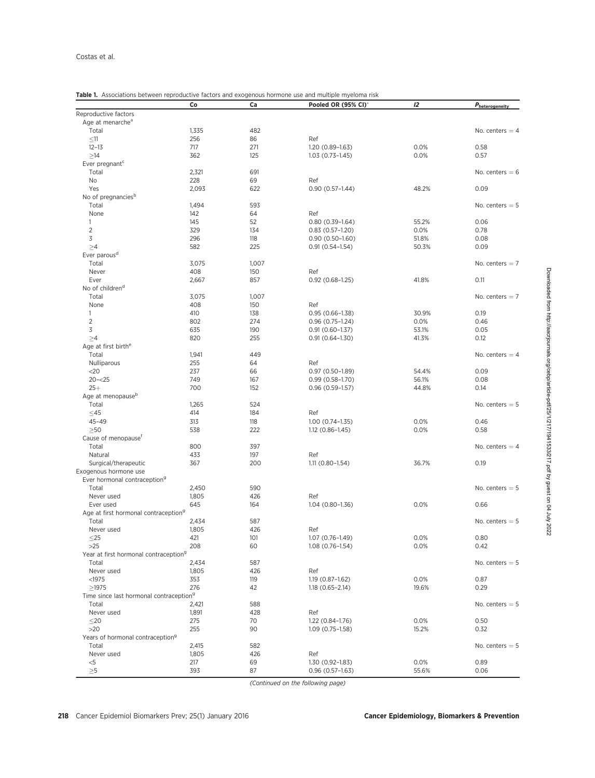## Table 1. Associations between reproductive factors and exogenous hormone use and multiple myeloma risk

| Reproductive factors<br>Age at menarche <sup>a</sup><br>Total<br>1,335<br>482<br>No. centers $=$ 4<br>256<br>86<br>$\leq$ 11<br>Ref<br>717<br>271<br>0.0%<br>0.58<br>$12 - 13$<br>1.20 (0.89-1.63)<br>$\geq$ 14<br>362<br>125<br>0.0%<br>0.57<br>$1.03(0.73 - 1.45)$<br>Ever pregnant <sup>c</sup><br>691<br>Total<br>2,321<br>No. centers $= 6$<br>228<br>69<br>No<br>Ref<br>Yes<br>2,093<br>622<br>48.2%<br>0.09<br>$0.90(0.57 - 1.44)$<br>No of pregnancies <sup>b</sup><br>593<br>Total<br>1,494<br>No. centers $= 5$<br>64<br>None<br>142<br>Ref<br>145<br>52<br>$0.80(0.39-1.64)$<br>55.2%<br>0.06<br>1<br>$\overline{2}$<br>134<br>0.78<br>329<br>0.0%<br>$0.83(0.57-1.20)$<br>3<br>296<br>118<br>0.08<br>$0.90(0.50-1.60)$<br>51.8%<br>582<br>225<br>$\geq 4$<br>50.3%<br>0.09<br>$0.91(0.54 - 1.54)$<br>Ever parous <sup>d</sup><br>Total<br>3,075<br>1,007<br>No. centers $= 7$<br>408<br>150<br>Never<br>Ref<br>857<br>41.8%<br>0.11<br>Ever<br>2,667<br>$0.92(0.68-1.25)$<br>No of children <sup>d</sup><br>Total<br>3,075<br>1,007<br>No. centers $= 7$<br>408<br>150<br>None<br>Ref<br>410<br>138<br>30.9%<br>0.19<br>1<br>$0.95(0.66 - 1.38)$<br>$\overline{2}$<br>802<br>274<br>0.0%<br>0.46<br>$0.96(0.75-1.24)$<br>3<br>635<br>190<br>53.1%<br>0.05<br>$0.91(0.60 - 1.37)$<br>820<br>255<br>>4<br>$0.91(0.64 - 1.30)$<br>41.3%<br>0.12<br>Age at first birth <sup>e</sup><br>449<br>Total<br>1,941<br>No. centers $=$ 4<br>255<br>64<br>Nulliparous<br>Ref<br>237<br>66<br>54.4%<br>0.09<br>$<$ 20<br>$0.97(0.50-1.89)$<br>$20 - 25$<br>749<br>167<br>56.1%<br>0.08<br>$0.99(0.58 - 1.70)$<br>$25+$<br>700<br>152<br>$0.96(0.59-1.57)$<br>44.8%<br>0.14<br>Age at menopause <sup>b</sup><br>Total<br>1,265<br>524<br>No. centers $= 5$<br>$\leq$ 45<br>414<br>184<br>Ref<br>$45 - 49$<br>0.0%<br>313<br>118<br>$1.00(0.74-1.35)$<br>0.46<br>$>50$<br>538<br>222<br>0.0%<br>0.58<br>$1.12(0.86 - 1.45)$<br>Cause of menopause <sup>r</sup><br>Total<br>800<br>397<br>No. centers $=$ 4<br>433<br>197<br>Natural<br>Ref<br>Surgical/therapeutic<br>36.7%<br>367<br>200<br>$1.11(0.80 - 1.54)$<br>0.19<br>Ever hormonal contraception <sup>9</sup><br>Total<br>2,450<br>590<br>No. centers $= 5$<br>Never used<br>1,805<br>426<br>Ref<br>645<br>0.66<br>Ever used<br>164<br>1.04 (0.80-1.36)<br>0.0%<br>Age at first hormonal contraception <sup>9</sup><br>587<br>2,434<br>No. centers $= 5$<br>Total<br>1,805<br>426<br>Never used<br>Ref<br>421<br>0.0%<br>0.80<br>$\leq$ 25<br>101<br>$1.07(0.76 - 1.49)$<br>$>25$<br>208<br>0.0%<br>0.42<br>60<br>$1.08(0.76 - 1.54)$<br>Year at first hormonal contraception <sup>9</sup><br>Total<br>2,434<br>587<br>No. centers $= 5$<br>426<br>Never used<br>1,805<br>Ref<br><1975<br>0.0%<br>0.87<br>353<br>119<br>1.19 (0.87-1.62)<br>276<br>0.29<br>$\geq$ 1975<br>42<br>$1.18(0.65 - 2.14)$<br>19.6%<br>Time since last hormonal contraception <sup>9</sup><br>Total<br>588<br>2,421<br>No. centers $= 5$<br>Never used<br>1,891<br>428<br>Ref<br>275<br>70<br>1.22 (0.84-1.76)<br>0.0%<br>0.50<br>$\leq$ 20<br>$>20$<br>255<br>15.2%<br>0.32<br>90<br>$1.09(0.75 - 1.58)$<br>Years of hormonal contraception <sup>9</sup><br>582<br>Total<br>2,415<br>No. centers $= 5$<br>Never used<br>1,805<br>426<br>Ref<br>$< 5$<br>217<br>69<br>0.0%<br>0.89<br>1.30 (0.92-1.83) |          | Co  | Ca | Pooled OR (95% CI)* | 12    | $P_{\text{heterogeneity}}$ |
|-------------------------------------------------------------------------------------------------------------------------------------------------------------------------------------------------------------------------------------------------------------------------------------------------------------------------------------------------------------------------------------------------------------------------------------------------------------------------------------------------------------------------------------------------------------------------------------------------------------------------------------------------------------------------------------------------------------------------------------------------------------------------------------------------------------------------------------------------------------------------------------------------------------------------------------------------------------------------------------------------------------------------------------------------------------------------------------------------------------------------------------------------------------------------------------------------------------------------------------------------------------------------------------------------------------------------------------------------------------------------------------------------------------------------------------------------------------------------------------------------------------------------------------------------------------------------------------------------------------------------------------------------------------------------------------------------------------------------------------------------------------------------------------------------------------------------------------------------------------------------------------------------------------------------------------------------------------------------------------------------------------------------------------------------------------------------------------------------------------------------------------------------------------------------------------------------------------------------------------------------------------------------------------------------------------------------------------------------------------------------------------------------------------------------------------------------------------------------------------------------------------------------------------------------------------------------------------------------------------------------------------------------------------------------------------------------------------------------------------------------------------------------------------------------------------------------------------------------------------------------------------------------------------------------------------------------------------------------------------------------------------------------------------------------------------------------------------------------------------------------------------------------------------------------------------------------------------------------------------------------------------------------------------------------------------------------------------|----------|-----|----|---------------------|-------|----------------------------|
|                                                                                                                                                                                                                                                                                                                                                                                                                                                                                                                                                                                                                                                                                                                                                                                                                                                                                                                                                                                                                                                                                                                                                                                                                                                                                                                                                                                                                                                                                                                                                                                                                                                                                                                                                                                                                                                                                                                                                                                                                                                                                                                                                                                                                                                                                                                                                                                                                                                                                                                                                                                                                                                                                                                                                                                                                                                                                                                                                                                                                                                                                                                                                                                                                                                                                                                                     |          |     |    |                     |       |                            |
|                                                                                                                                                                                                                                                                                                                                                                                                                                                                                                                                                                                                                                                                                                                                                                                                                                                                                                                                                                                                                                                                                                                                                                                                                                                                                                                                                                                                                                                                                                                                                                                                                                                                                                                                                                                                                                                                                                                                                                                                                                                                                                                                                                                                                                                                                                                                                                                                                                                                                                                                                                                                                                                                                                                                                                                                                                                                                                                                                                                                                                                                                                                                                                                                                                                                                                                                     |          |     |    |                     |       |                            |
|                                                                                                                                                                                                                                                                                                                                                                                                                                                                                                                                                                                                                                                                                                                                                                                                                                                                                                                                                                                                                                                                                                                                                                                                                                                                                                                                                                                                                                                                                                                                                                                                                                                                                                                                                                                                                                                                                                                                                                                                                                                                                                                                                                                                                                                                                                                                                                                                                                                                                                                                                                                                                                                                                                                                                                                                                                                                                                                                                                                                                                                                                                                                                                                                                                                                                                                                     |          |     |    |                     |       |                            |
|                                                                                                                                                                                                                                                                                                                                                                                                                                                                                                                                                                                                                                                                                                                                                                                                                                                                                                                                                                                                                                                                                                                                                                                                                                                                                                                                                                                                                                                                                                                                                                                                                                                                                                                                                                                                                                                                                                                                                                                                                                                                                                                                                                                                                                                                                                                                                                                                                                                                                                                                                                                                                                                                                                                                                                                                                                                                                                                                                                                                                                                                                                                                                                                                                                                                                                                                     |          |     |    |                     |       |                            |
|                                                                                                                                                                                                                                                                                                                                                                                                                                                                                                                                                                                                                                                                                                                                                                                                                                                                                                                                                                                                                                                                                                                                                                                                                                                                                                                                                                                                                                                                                                                                                                                                                                                                                                                                                                                                                                                                                                                                                                                                                                                                                                                                                                                                                                                                                                                                                                                                                                                                                                                                                                                                                                                                                                                                                                                                                                                                                                                                                                                                                                                                                                                                                                                                                                                                                                                                     |          |     |    |                     |       |                            |
|                                                                                                                                                                                                                                                                                                                                                                                                                                                                                                                                                                                                                                                                                                                                                                                                                                                                                                                                                                                                                                                                                                                                                                                                                                                                                                                                                                                                                                                                                                                                                                                                                                                                                                                                                                                                                                                                                                                                                                                                                                                                                                                                                                                                                                                                                                                                                                                                                                                                                                                                                                                                                                                                                                                                                                                                                                                                                                                                                                                                                                                                                                                                                                                                                                                                                                                                     |          |     |    |                     |       |                            |
|                                                                                                                                                                                                                                                                                                                                                                                                                                                                                                                                                                                                                                                                                                                                                                                                                                                                                                                                                                                                                                                                                                                                                                                                                                                                                                                                                                                                                                                                                                                                                                                                                                                                                                                                                                                                                                                                                                                                                                                                                                                                                                                                                                                                                                                                                                                                                                                                                                                                                                                                                                                                                                                                                                                                                                                                                                                                                                                                                                                                                                                                                                                                                                                                                                                                                                                                     |          |     |    |                     |       |                            |
|                                                                                                                                                                                                                                                                                                                                                                                                                                                                                                                                                                                                                                                                                                                                                                                                                                                                                                                                                                                                                                                                                                                                                                                                                                                                                                                                                                                                                                                                                                                                                                                                                                                                                                                                                                                                                                                                                                                                                                                                                                                                                                                                                                                                                                                                                                                                                                                                                                                                                                                                                                                                                                                                                                                                                                                                                                                                                                                                                                                                                                                                                                                                                                                                                                                                                                                                     |          |     |    |                     |       |                            |
|                                                                                                                                                                                                                                                                                                                                                                                                                                                                                                                                                                                                                                                                                                                                                                                                                                                                                                                                                                                                                                                                                                                                                                                                                                                                                                                                                                                                                                                                                                                                                                                                                                                                                                                                                                                                                                                                                                                                                                                                                                                                                                                                                                                                                                                                                                                                                                                                                                                                                                                                                                                                                                                                                                                                                                                                                                                                                                                                                                                                                                                                                                                                                                                                                                                                                                                                     |          |     |    |                     |       |                            |
|                                                                                                                                                                                                                                                                                                                                                                                                                                                                                                                                                                                                                                                                                                                                                                                                                                                                                                                                                                                                                                                                                                                                                                                                                                                                                                                                                                                                                                                                                                                                                                                                                                                                                                                                                                                                                                                                                                                                                                                                                                                                                                                                                                                                                                                                                                                                                                                                                                                                                                                                                                                                                                                                                                                                                                                                                                                                                                                                                                                                                                                                                                                                                                                                                                                                                                                                     |          |     |    |                     |       |                            |
|                                                                                                                                                                                                                                                                                                                                                                                                                                                                                                                                                                                                                                                                                                                                                                                                                                                                                                                                                                                                                                                                                                                                                                                                                                                                                                                                                                                                                                                                                                                                                                                                                                                                                                                                                                                                                                                                                                                                                                                                                                                                                                                                                                                                                                                                                                                                                                                                                                                                                                                                                                                                                                                                                                                                                                                                                                                                                                                                                                                                                                                                                                                                                                                                                                                                                                                                     |          |     |    |                     |       |                            |
|                                                                                                                                                                                                                                                                                                                                                                                                                                                                                                                                                                                                                                                                                                                                                                                                                                                                                                                                                                                                                                                                                                                                                                                                                                                                                                                                                                                                                                                                                                                                                                                                                                                                                                                                                                                                                                                                                                                                                                                                                                                                                                                                                                                                                                                                                                                                                                                                                                                                                                                                                                                                                                                                                                                                                                                                                                                                                                                                                                                                                                                                                                                                                                                                                                                                                                                                     |          |     |    |                     |       |                            |
|                                                                                                                                                                                                                                                                                                                                                                                                                                                                                                                                                                                                                                                                                                                                                                                                                                                                                                                                                                                                                                                                                                                                                                                                                                                                                                                                                                                                                                                                                                                                                                                                                                                                                                                                                                                                                                                                                                                                                                                                                                                                                                                                                                                                                                                                                                                                                                                                                                                                                                                                                                                                                                                                                                                                                                                                                                                                                                                                                                                                                                                                                                                                                                                                                                                                                                                                     |          |     |    |                     |       |                            |
|                                                                                                                                                                                                                                                                                                                                                                                                                                                                                                                                                                                                                                                                                                                                                                                                                                                                                                                                                                                                                                                                                                                                                                                                                                                                                                                                                                                                                                                                                                                                                                                                                                                                                                                                                                                                                                                                                                                                                                                                                                                                                                                                                                                                                                                                                                                                                                                                                                                                                                                                                                                                                                                                                                                                                                                                                                                                                                                                                                                                                                                                                                                                                                                                                                                                                                                                     |          |     |    |                     |       |                            |
|                                                                                                                                                                                                                                                                                                                                                                                                                                                                                                                                                                                                                                                                                                                                                                                                                                                                                                                                                                                                                                                                                                                                                                                                                                                                                                                                                                                                                                                                                                                                                                                                                                                                                                                                                                                                                                                                                                                                                                                                                                                                                                                                                                                                                                                                                                                                                                                                                                                                                                                                                                                                                                                                                                                                                                                                                                                                                                                                                                                                                                                                                                                                                                                                                                                                                                                                     |          |     |    |                     |       |                            |
|                                                                                                                                                                                                                                                                                                                                                                                                                                                                                                                                                                                                                                                                                                                                                                                                                                                                                                                                                                                                                                                                                                                                                                                                                                                                                                                                                                                                                                                                                                                                                                                                                                                                                                                                                                                                                                                                                                                                                                                                                                                                                                                                                                                                                                                                                                                                                                                                                                                                                                                                                                                                                                                                                                                                                                                                                                                                                                                                                                                                                                                                                                                                                                                                                                                                                                                                     |          |     |    |                     |       |                            |
|                                                                                                                                                                                                                                                                                                                                                                                                                                                                                                                                                                                                                                                                                                                                                                                                                                                                                                                                                                                                                                                                                                                                                                                                                                                                                                                                                                                                                                                                                                                                                                                                                                                                                                                                                                                                                                                                                                                                                                                                                                                                                                                                                                                                                                                                                                                                                                                                                                                                                                                                                                                                                                                                                                                                                                                                                                                                                                                                                                                                                                                                                                                                                                                                                                                                                                                                     |          |     |    |                     |       |                            |
|                                                                                                                                                                                                                                                                                                                                                                                                                                                                                                                                                                                                                                                                                                                                                                                                                                                                                                                                                                                                                                                                                                                                                                                                                                                                                                                                                                                                                                                                                                                                                                                                                                                                                                                                                                                                                                                                                                                                                                                                                                                                                                                                                                                                                                                                                                                                                                                                                                                                                                                                                                                                                                                                                                                                                                                                                                                                                                                                                                                                                                                                                                                                                                                                                                                                                                                                     |          |     |    |                     |       |                            |
|                                                                                                                                                                                                                                                                                                                                                                                                                                                                                                                                                                                                                                                                                                                                                                                                                                                                                                                                                                                                                                                                                                                                                                                                                                                                                                                                                                                                                                                                                                                                                                                                                                                                                                                                                                                                                                                                                                                                                                                                                                                                                                                                                                                                                                                                                                                                                                                                                                                                                                                                                                                                                                                                                                                                                                                                                                                                                                                                                                                                                                                                                                                                                                                                                                                                                                                                     |          |     |    |                     |       |                            |
|                                                                                                                                                                                                                                                                                                                                                                                                                                                                                                                                                                                                                                                                                                                                                                                                                                                                                                                                                                                                                                                                                                                                                                                                                                                                                                                                                                                                                                                                                                                                                                                                                                                                                                                                                                                                                                                                                                                                                                                                                                                                                                                                                                                                                                                                                                                                                                                                                                                                                                                                                                                                                                                                                                                                                                                                                                                                                                                                                                                                                                                                                                                                                                                                                                                                                                                                     |          |     |    |                     |       |                            |
|                                                                                                                                                                                                                                                                                                                                                                                                                                                                                                                                                                                                                                                                                                                                                                                                                                                                                                                                                                                                                                                                                                                                                                                                                                                                                                                                                                                                                                                                                                                                                                                                                                                                                                                                                                                                                                                                                                                                                                                                                                                                                                                                                                                                                                                                                                                                                                                                                                                                                                                                                                                                                                                                                                                                                                                                                                                                                                                                                                                                                                                                                                                                                                                                                                                                                                                                     |          |     |    |                     |       |                            |
|                                                                                                                                                                                                                                                                                                                                                                                                                                                                                                                                                                                                                                                                                                                                                                                                                                                                                                                                                                                                                                                                                                                                                                                                                                                                                                                                                                                                                                                                                                                                                                                                                                                                                                                                                                                                                                                                                                                                                                                                                                                                                                                                                                                                                                                                                                                                                                                                                                                                                                                                                                                                                                                                                                                                                                                                                                                                                                                                                                                                                                                                                                                                                                                                                                                                                                                                     |          |     |    |                     |       |                            |
| Exogenous hormone use                                                                                                                                                                                                                                                                                                                                                                                                                                                                                                                                                                                                                                                                                                                                                                                                                                                                                                                                                                                                                                                                                                                                                                                                                                                                                                                                                                                                                                                                                                                                                                                                                                                                                                                                                                                                                                                                                                                                                                                                                                                                                                                                                                                                                                                                                                                                                                                                                                                                                                                                                                                                                                                                                                                                                                                                                                                                                                                                                                                                                                                                                                                                                                                                                                                                                                               |          |     |    |                     |       |                            |
|                                                                                                                                                                                                                                                                                                                                                                                                                                                                                                                                                                                                                                                                                                                                                                                                                                                                                                                                                                                                                                                                                                                                                                                                                                                                                                                                                                                                                                                                                                                                                                                                                                                                                                                                                                                                                                                                                                                                                                                                                                                                                                                                                                                                                                                                                                                                                                                                                                                                                                                                                                                                                                                                                                                                                                                                                                                                                                                                                                                                                                                                                                                                                                                                                                                                                                                                     |          |     |    |                     |       |                            |
|                                                                                                                                                                                                                                                                                                                                                                                                                                                                                                                                                                                                                                                                                                                                                                                                                                                                                                                                                                                                                                                                                                                                                                                                                                                                                                                                                                                                                                                                                                                                                                                                                                                                                                                                                                                                                                                                                                                                                                                                                                                                                                                                                                                                                                                                                                                                                                                                                                                                                                                                                                                                                                                                                                                                                                                                                                                                                                                                                                                                                                                                                                                                                                                                                                                                                                                                     |          |     |    |                     |       |                            |
|                                                                                                                                                                                                                                                                                                                                                                                                                                                                                                                                                                                                                                                                                                                                                                                                                                                                                                                                                                                                                                                                                                                                                                                                                                                                                                                                                                                                                                                                                                                                                                                                                                                                                                                                                                                                                                                                                                                                                                                                                                                                                                                                                                                                                                                                                                                                                                                                                                                                                                                                                                                                                                                                                                                                                                                                                                                                                                                                                                                                                                                                                                                                                                                                                                                                                                                                     |          |     |    |                     |       |                            |
|                                                                                                                                                                                                                                                                                                                                                                                                                                                                                                                                                                                                                                                                                                                                                                                                                                                                                                                                                                                                                                                                                                                                                                                                                                                                                                                                                                                                                                                                                                                                                                                                                                                                                                                                                                                                                                                                                                                                                                                                                                                                                                                                                                                                                                                                                                                                                                                                                                                                                                                                                                                                                                                                                                                                                                                                                                                                                                                                                                                                                                                                                                                                                                                                                                                                                                                                     |          |     |    |                     |       |                            |
|                                                                                                                                                                                                                                                                                                                                                                                                                                                                                                                                                                                                                                                                                                                                                                                                                                                                                                                                                                                                                                                                                                                                                                                                                                                                                                                                                                                                                                                                                                                                                                                                                                                                                                                                                                                                                                                                                                                                                                                                                                                                                                                                                                                                                                                                                                                                                                                                                                                                                                                                                                                                                                                                                                                                                                                                                                                                                                                                                                                                                                                                                                                                                                                                                                                                                                                                     |          |     |    |                     |       |                            |
|                                                                                                                                                                                                                                                                                                                                                                                                                                                                                                                                                                                                                                                                                                                                                                                                                                                                                                                                                                                                                                                                                                                                                                                                                                                                                                                                                                                                                                                                                                                                                                                                                                                                                                                                                                                                                                                                                                                                                                                                                                                                                                                                                                                                                                                                                                                                                                                                                                                                                                                                                                                                                                                                                                                                                                                                                                                                                                                                                                                                                                                                                                                                                                                                                                                                                                                                     |          |     |    |                     |       |                            |
|                                                                                                                                                                                                                                                                                                                                                                                                                                                                                                                                                                                                                                                                                                                                                                                                                                                                                                                                                                                                                                                                                                                                                                                                                                                                                                                                                                                                                                                                                                                                                                                                                                                                                                                                                                                                                                                                                                                                                                                                                                                                                                                                                                                                                                                                                                                                                                                                                                                                                                                                                                                                                                                                                                                                                                                                                                                                                                                                                                                                                                                                                                                                                                                                                                                                                                                                     |          |     |    |                     |       |                            |
|                                                                                                                                                                                                                                                                                                                                                                                                                                                                                                                                                                                                                                                                                                                                                                                                                                                                                                                                                                                                                                                                                                                                                                                                                                                                                                                                                                                                                                                                                                                                                                                                                                                                                                                                                                                                                                                                                                                                                                                                                                                                                                                                                                                                                                                                                                                                                                                                                                                                                                                                                                                                                                                                                                                                                                                                                                                                                                                                                                                                                                                                                                                                                                                                                                                                                                                                     |          |     |    |                     |       |                            |
|                                                                                                                                                                                                                                                                                                                                                                                                                                                                                                                                                                                                                                                                                                                                                                                                                                                                                                                                                                                                                                                                                                                                                                                                                                                                                                                                                                                                                                                                                                                                                                                                                                                                                                                                                                                                                                                                                                                                                                                                                                                                                                                                                                                                                                                                                                                                                                                                                                                                                                                                                                                                                                                                                                                                                                                                                                                                                                                                                                                                                                                                                                                                                                                                                                                                                                                                     |          |     |    |                     |       |                            |
|                                                                                                                                                                                                                                                                                                                                                                                                                                                                                                                                                                                                                                                                                                                                                                                                                                                                                                                                                                                                                                                                                                                                                                                                                                                                                                                                                                                                                                                                                                                                                                                                                                                                                                                                                                                                                                                                                                                                                                                                                                                                                                                                                                                                                                                                                                                                                                                                                                                                                                                                                                                                                                                                                                                                                                                                                                                                                                                                                                                                                                                                                                                                                                                                                                                                                                                                     |          |     |    |                     |       |                            |
|                                                                                                                                                                                                                                                                                                                                                                                                                                                                                                                                                                                                                                                                                                                                                                                                                                                                                                                                                                                                                                                                                                                                                                                                                                                                                                                                                                                                                                                                                                                                                                                                                                                                                                                                                                                                                                                                                                                                                                                                                                                                                                                                                                                                                                                                                                                                                                                                                                                                                                                                                                                                                                                                                                                                                                                                                                                                                                                                                                                                                                                                                                                                                                                                                                                                                                                                     |          |     |    |                     |       |                            |
|                                                                                                                                                                                                                                                                                                                                                                                                                                                                                                                                                                                                                                                                                                                                                                                                                                                                                                                                                                                                                                                                                                                                                                                                                                                                                                                                                                                                                                                                                                                                                                                                                                                                                                                                                                                                                                                                                                                                                                                                                                                                                                                                                                                                                                                                                                                                                                                                                                                                                                                                                                                                                                                                                                                                                                                                                                                                                                                                                                                                                                                                                                                                                                                                                                                                                                                                     |          |     |    |                     |       |                            |
|                                                                                                                                                                                                                                                                                                                                                                                                                                                                                                                                                                                                                                                                                                                                                                                                                                                                                                                                                                                                                                                                                                                                                                                                                                                                                                                                                                                                                                                                                                                                                                                                                                                                                                                                                                                                                                                                                                                                                                                                                                                                                                                                                                                                                                                                                                                                                                                                                                                                                                                                                                                                                                                                                                                                                                                                                                                                                                                                                                                                                                                                                                                                                                                                                                                                                                                                     |          |     |    |                     |       |                            |
|                                                                                                                                                                                                                                                                                                                                                                                                                                                                                                                                                                                                                                                                                                                                                                                                                                                                                                                                                                                                                                                                                                                                                                                                                                                                                                                                                                                                                                                                                                                                                                                                                                                                                                                                                                                                                                                                                                                                                                                                                                                                                                                                                                                                                                                                                                                                                                                                                                                                                                                                                                                                                                                                                                                                                                                                                                                                                                                                                                                                                                                                                                                                                                                                                                                                                                                                     |          |     |    |                     |       |                            |
|                                                                                                                                                                                                                                                                                                                                                                                                                                                                                                                                                                                                                                                                                                                                                                                                                                                                                                                                                                                                                                                                                                                                                                                                                                                                                                                                                                                                                                                                                                                                                                                                                                                                                                                                                                                                                                                                                                                                                                                                                                                                                                                                                                                                                                                                                                                                                                                                                                                                                                                                                                                                                                                                                                                                                                                                                                                                                                                                                                                                                                                                                                                                                                                                                                                                                                                                     |          |     |    |                     |       |                            |
|                                                                                                                                                                                                                                                                                                                                                                                                                                                                                                                                                                                                                                                                                                                                                                                                                                                                                                                                                                                                                                                                                                                                                                                                                                                                                                                                                                                                                                                                                                                                                                                                                                                                                                                                                                                                                                                                                                                                                                                                                                                                                                                                                                                                                                                                                                                                                                                                                                                                                                                                                                                                                                                                                                                                                                                                                                                                                                                                                                                                                                                                                                                                                                                                                                                                                                                                     |          |     |    |                     |       |                            |
|                                                                                                                                                                                                                                                                                                                                                                                                                                                                                                                                                                                                                                                                                                                                                                                                                                                                                                                                                                                                                                                                                                                                                                                                                                                                                                                                                                                                                                                                                                                                                                                                                                                                                                                                                                                                                                                                                                                                                                                                                                                                                                                                                                                                                                                                                                                                                                                                                                                                                                                                                                                                                                                                                                                                                                                                                                                                                                                                                                                                                                                                                                                                                                                                                                                                                                                                     |          |     |    |                     |       |                            |
|                                                                                                                                                                                                                                                                                                                                                                                                                                                                                                                                                                                                                                                                                                                                                                                                                                                                                                                                                                                                                                                                                                                                                                                                                                                                                                                                                                                                                                                                                                                                                                                                                                                                                                                                                                                                                                                                                                                                                                                                                                                                                                                                                                                                                                                                                                                                                                                                                                                                                                                                                                                                                                                                                                                                                                                                                                                                                                                                                                                                                                                                                                                                                                                                                                                                                                                                     |          |     |    |                     |       |                            |
|                                                                                                                                                                                                                                                                                                                                                                                                                                                                                                                                                                                                                                                                                                                                                                                                                                                                                                                                                                                                                                                                                                                                                                                                                                                                                                                                                                                                                                                                                                                                                                                                                                                                                                                                                                                                                                                                                                                                                                                                                                                                                                                                                                                                                                                                                                                                                                                                                                                                                                                                                                                                                                                                                                                                                                                                                                                                                                                                                                                                                                                                                                                                                                                                                                                                                                                                     |          |     |    |                     |       |                            |
|                                                                                                                                                                                                                                                                                                                                                                                                                                                                                                                                                                                                                                                                                                                                                                                                                                                                                                                                                                                                                                                                                                                                                                                                                                                                                                                                                                                                                                                                                                                                                                                                                                                                                                                                                                                                                                                                                                                                                                                                                                                                                                                                                                                                                                                                                                                                                                                                                                                                                                                                                                                                                                                                                                                                                                                                                                                                                                                                                                                                                                                                                                                                                                                                                                                                                                                                     |          |     |    |                     |       |                            |
|                                                                                                                                                                                                                                                                                                                                                                                                                                                                                                                                                                                                                                                                                                                                                                                                                                                                                                                                                                                                                                                                                                                                                                                                                                                                                                                                                                                                                                                                                                                                                                                                                                                                                                                                                                                                                                                                                                                                                                                                                                                                                                                                                                                                                                                                                                                                                                                                                                                                                                                                                                                                                                                                                                                                                                                                                                                                                                                                                                                                                                                                                                                                                                                                                                                                                                                                     |          |     |    |                     |       |                            |
|                                                                                                                                                                                                                                                                                                                                                                                                                                                                                                                                                                                                                                                                                                                                                                                                                                                                                                                                                                                                                                                                                                                                                                                                                                                                                                                                                                                                                                                                                                                                                                                                                                                                                                                                                                                                                                                                                                                                                                                                                                                                                                                                                                                                                                                                                                                                                                                                                                                                                                                                                                                                                                                                                                                                                                                                                                                                                                                                                                                                                                                                                                                                                                                                                                                                                                                                     |          |     |    |                     |       |                            |
|                                                                                                                                                                                                                                                                                                                                                                                                                                                                                                                                                                                                                                                                                                                                                                                                                                                                                                                                                                                                                                                                                                                                                                                                                                                                                                                                                                                                                                                                                                                                                                                                                                                                                                                                                                                                                                                                                                                                                                                                                                                                                                                                                                                                                                                                                                                                                                                                                                                                                                                                                                                                                                                                                                                                                                                                                                                                                                                                                                                                                                                                                                                                                                                                                                                                                                                                     |          |     |    |                     |       |                            |
|                                                                                                                                                                                                                                                                                                                                                                                                                                                                                                                                                                                                                                                                                                                                                                                                                                                                                                                                                                                                                                                                                                                                                                                                                                                                                                                                                                                                                                                                                                                                                                                                                                                                                                                                                                                                                                                                                                                                                                                                                                                                                                                                                                                                                                                                                                                                                                                                                                                                                                                                                                                                                                                                                                                                                                                                                                                                                                                                                                                                                                                                                                                                                                                                                                                                                                                                     |          |     |    |                     |       |                            |
|                                                                                                                                                                                                                                                                                                                                                                                                                                                                                                                                                                                                                                                                                                                                                                                                                                                                                                                                                                                                                                                                                                                                                                                                                                                                                                                                                                                                                                                                                                                                                                                                                                                                                                                                                                                                                                                                                                                                                                                                                                                                                                                                                                                                                                                                                                                                                                                                                                                                                                                                                                                                                                                                                                                                                                                                                                                                                                                                                                                                                                                                                                                                                                                                                                                                                                                                     |          |     |    |                     |       |                            |
|                                                                                                                                                                                                                                                                                                                                                                                                                                                                                                                                                                                                                                                                                                                                                                                                                                                                                                                                                                                                                                                                                                                                                                                                                                                                                                                                                                                                                                                                                                                                                                                                                                                                                                                                                                                                                                                                                                                                                                                                                                                                                                                                                                                                                                                                                                                                                                                                                                                                                                                                                                                                                                                                                                                                                                                                                                                                                                                                                                                                                                                                                                                                                                                                                                                                                                                                     |          |     |    |                     |       |                            |
|                                                                                                                                                                                                                                                                                                                                                                                                                                                                                                                                                                                                                                                                                                                                                                                                                                                                                                                                                                                                                                                                                                                                                                                                                                                                                                                                                                                                                                                                                                                                                                                                                                                                                                                                                                                                                                                                                                                                                                                                                                                                                                                                                                                                                                                                                                                                                                                                                                                                                                                                                                                                                                                                                                                                                                                                                                                                                                                                                                                                                                                                                                                                                                                                                                                                                                                                     |          |     |    |                     |       |                            |
|                                                                                                                                                                                                                                                                                                                                                                                                                                                                                                                                                                                                                                                                                                                                                                                                                                                                                                                                                                                                                                                                                                                                                                                                                                                                                                                                                                                                                                                                                                                                                                                                                                                                                                                                                                                                                                                                                                                                                                                                                                                                                                                                                                                                                                                                                                                                                                                                                                                                                                                                                                                                                                                                                                                                                                                                                                                                                                                                                                                                                                                                                                                                                                                                                                                                                                                                     |          |     |    |                     |       |                            |
|                                                                                                                                                                                                                                                                                                                                                                                                                                                                                                                                                                                                                                                                                                                                                                                                                                                                                                                                                                                                                                                                                                                                                                                                                                                                                                                                                                                                                                                                                                                                                                                                                                                                                                                                                                                                                                                                                                                                                                                                                                                                                                                                                                                                                                                                                                                                                                                                                                                                                                                                                                                                                                                                                                                                                                                                                                                                                                                                                                                                                                                                                                                                                                                                                                                                                                                                     |          |     |    |                     |       |                            |
|                                                                                                                                                                                                                                                                                                                                                                                                                                                                                                                                                                                                                                                                                                                                                                                                                                                                                                                                                                                                                                                                                                                                                                                                                                                                                                                                                                                                                                                                                                                                                                                                                                                                                                                                                                                                                                                                                                                                                                                                                                                                                                                                                                                                                                                                                                                                                                                                                                                                                                                                                                                                                                                                                                                                                                                                                                                                                                                                                                                                                                                                                                                                                                                                                                                                                                                                     |          |     |    |                     |       |                            |
|                                                                                                                                                                                                                                                                                                                                                                                                                                                                                                                                                                                                                                                                                                                                                                                                                                                                                                                                                                                                                                                                                                                                                                                                                                                                                                                                                                                                                                                                                                                                                                                                                                                                                                                                                                                                                                                                                                                                                                                                                                                                                                                                                                                                                                                                                                                                                                                                                                                                                                                                                                                                                                                                                                                                                                                                                                                                                                                                                                                                                                                                                                                                                                                                                                                                                                                                     |          |     |    |                     |       |                            |
|                                                                                                                                                                                                                                                                                                                                                                                                                                                                                                                                                                                                                                                                                                                                                                                                                                                                                                                                                                                                                                                                                                                                                                                                                                                                                                                                                                                                                                                                                                                                                                                                                                                                                                                                                                                                                                                                                                                                                                                                                                                                                                                                                                                                                                                                                                                                                                                                                                                                                                                                                                                                                                                                                                                                                                                                                                                                                                                                                                                                                                                                                                                                                                                                                                                                                                                                     |          |     |    |                     |       |                            |
|                                                                                                                                                                                                                                                                                                                                                                                                                                                                                                                                                                                                                                                                                                                                                                                                                                                                                                                                                                                                                                                                                                                                                                                                                                                                                                                                                                                                                                                                                                                                                                                                                                                                                                                                                                                                                                                                                                                                                                                                                                                                                                                                                                                                                                                                                                                                                                                                                                                                                                                                                                                                                                                                                                                                                                                                                                                                                                                                                                                                                                                                                                                                                                                                                                                                                                                                     |          |     |    |                     |       |                            |
|                                                                                                                                                                                                                                                                                                                                                                                                                                                                                                                                                                                                                                                                                                                                                                                                                                                                                                                                                                                                                                                                                                                                                                                                                                                                                                                                                                                                                                                                                                                                                                                                                                                                                                                                                                                                                                                                                                                                                                                                                                                                                                                                                                                                                                                                                                                                                                                                                                                                                                                                                                                                                                                                                                                                                                                                                                                                                                                                                                                                                                                                                                                                                                                                                                                                                                                                     |          |     |    |                     |       |                            |
|                                                                                                                                                                                                                                                                                                                                                                                                                                                                                                                                                                                                                                                                                                                                                                                                                                                                                                                                                                                                                                                                                                                                                                                                                                                                                                                                                                                                                                                                                                                                                                                                                                                                                                                                                                                                                                                                                                                                                                                                                                                                                                                                                                                                                                                                                                                                                                                                                                                                                                                                                                                                                                                                                                                                                                                                                                                                                                                                                                                                                                                                                                                                                                                                                                                                                                                                     |          |     |    |                     |       |                            |
|                                                                                                                                                                                                                                                                                                                                                                                                                                                                                                                                                                                                                                                                                                                                                                                                                                                                                                                                                                                                                                                                                                                                                                                                                                                                                                                                                                                                                                                                                                                                                                                                                                                                                                                                                                                                                                                                                                                                                                                                                                                                                                                                                                                                                                                                                                                                                                                                                                                                                                                                                                                                                                                                                                                                                                                                                                                                                                                                                                                                                                                                                                                                                                                                                                                                                                                                     |          |     |    |                     |       |                            |
|                                                                                                                                                                                                                                                                                                                                                                                                                                                                                                                                                                                                                                                                                                                                                                                                                                                                                                                                                                                                                                                                                                                                                                                                                                                                                                                                                                                                                                                                                                                                                                                                                                                                                                                                                                                                                                                                                                                                                                                                                                                                                                                                                                                                                                                                                                                                                                                                                                                                                                                                                                                                                                                                                                                                                                                                                                                                                                                                                                                                                                                                                                                                                                                                                                                                                                                                     |          |     |    |                     |       |                            |
|                                                                                                                                                                                                                                                                                                                                                                                                                                                                                                                                                                                                                                                                                                                                                                                                                                                                                                                                                                                                                                                                                                                                                                                                                                                                                                                                                                                                                                                                                                                                                                                                                                                                                                                                                                                                                                                                                                                                                                                                                                                                                                                                                                                                                                                                                                                                                                                                                                                                                                                                                                                                                                                                                                                                                                                                                                                                                                                                                                                                                                                                                                                                                                                                                                                                                                                                     |          |     |    |                     |       |                            |
|                                                                                                                                                                                                                                                                                                                                                                                                                                                                                                                                                                                                                                                                                                                                                                                                                                                                                                                                                                                                                                                                                                                                                                                                                                                                                                                                                                                                                                                                                                                                                                                                                                                                                                                                                                                                                                                                                                                                                                                                                                                                                                                                                                                                                                                                                                                                                                                                                                                                                                                                                                                                                                                                                                                                                                                                                                                                                                                                                                                                                                                                                                                                                                                                                                                                                                                                     |          |     |    |                     |       |                            |
|                                                                                                                                                                                                                                                                                                                                                                                                                                                                                                                                                                                                                                                                                                                                                                                                                                                                                                                                                                                                                                                                                                                                                                                                                                                                                                                                                                                                                                                                                                                                                                                                                                                                                                                                                                                                                                                                                                                                                                                                                                                                                                                                                                                                                                                                                                                                                                                                                                                                                                                                                                                                                                                                                                                                                                                                                                                                                                                                                                                                                                                                                                                                                                                                                                                                                                                                     |          |     |    |                     |       |                            |
|                                                                                                                                                                                                                                                                                                                                                                                                                                                                                                                                                                                                                                                                                                                                                                                                                                                                                                                                                                                                                                                                                                                                                                                                                                                                                                                                                                                                                                                                                                                                                                                                                                                                                                                                                                                                                                                                                                                                                                                                                                                                                                                                                                                                                                                                                                                                                                                                                                                                                                                                                                                                                                                                                                                                                                                                                                                                                                                                                                                                                                                                                                                                                                                                                                                                                                                                     |          |     |    |                     |       |                            |
|                                                                                                                                                                                                                                                                                                                                                                                                                                                                                                                                                                                                                                                                                                                                                                                                                                                                                                                                                                                                                                                                                                                                                                                                                                                                                                                                                                                                                                                                                                                                                                                                                                                                                                                                                                                                                                                                                                                                                                                                                                                                                                                                                                                                                                                                                                                                                                                                                                                                                                                                                                                                                                                                                                                                                                                                                                                                                                                                                                                                                                                                                                                                                                                                                                                                                                                                     |          |     |    |                     |       |                            |
|                                                                                                                                                                                                                                                                                                                                                                                                                                                                                                                                                                                                                                                                                                                                                                                                                                                                                                                                                                                                                                                                                                                                                                                                                                                                                                                                                                                                                                                                                                                                                                                                                                                                                                                                                                                                                                                                                                                                                                                                                                                                                                                                                                                                                                                                                                                                                                                                                                                                                                                                                                                                                                                                                                                                                                                                                                                                                                                                                                                                                                                                                                                                                                                                                                                                                                                                     |          |     |    |                     |       |                            |
|                                                                                                                                                                                                                                                                                                                                                                                                                                                                                                                                                                                                                                                                                                                                                                                                                                                                                                                                                                                                                                                                                                                                                                                                                                                                                                                                                                                                                                                                                                                                                                                                                                                                                                                                                                                                                                                                                                                                                                                                                                                                                                                                                                                                                                                                                                                                                                                                                                                                                                                                                                                                                                                                                                                                                                                                                                                                                                                                                                                                                                                                                                                                                                                                                                                                                                                                     |          |     |    |                     |       |                            |
|                                                                                                                                                                                                                                                                                                                                                                                                                                                                                                                                                                                                                                                                                                                                                                                                                                                                                                                                                                                                                                                                                                                                                                                                                                                                                                                                                                                                                                                                                                                                                                                                                                                                                                                                                                                                                                                                                                                                                                                                                                                                                                                                                                                                                                                                                                                                                                                                                                                                                                                                                                                                                                                                                                                                                                                                                                                                                                                                                                                                                                                                                                                                                                                                                                                                                                                                     |          |     |    |                     |       |                            |
|                                                                                                                                                                                                                                                                                                                                                                                                                                                                                                                                                                                                                                                                                                                                                                                                                                                                                                                                                                                                                                                                                                                                                                                                                                                                                                                                                                                                                                                                                                                                                                                                                                                                                                                                                                                                                                                                                                                                                                                                                                                                                                                                                                                                                                                                                                                                                                                                                                                                                                                                                                                                                                                                                                                                                                                                                                                                                                                                                                                                                                                                                                                                                                                                                                                                                                                                     | $\geq$ 5 | 393 | 87 | $0.96(0.57-1.63)$   | 55.6% | 0.06                       |

(Continued on the following page)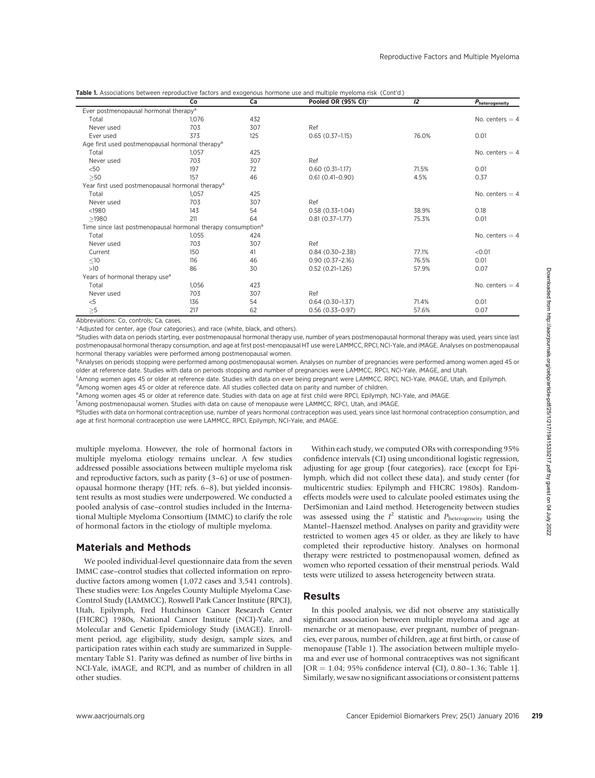| Table 1. Associations between reproductive factors and exogenous hormone use and multiple myeloma risk (Cont'd) |  |
|-----------------------------------------------------------------------------------------------------------------|--|
|-----------------------------------------------------------------------------------------------------------------|--|

|                                                                          | Co    | Ca  | Pooled OR (95% CI)* | 12    | Pheterogeneity    |
|--------------------------------------------------------------------------|-------|-----|---------------------|-------|-------------------|
| Ever postmenopausal hormonal therapy <sup>a</sup>                        |       |     |                     |       |                   |
| Total                                                                    | 1,076 | 432 |                     |       | No. centers $=$ 4 |
| Never used                                                               | 703   | 307 | Ref                 |       |                   |
| Ever used                                                                | 373   | 125 | $0.65(0.37-1.15)$   | 76.0% | 0.01              |
| Age first used postmenopausal hormonal therapy <sup>a</sup>              |       |     |                     |       |                   |
| Total                                                                    | 1,057 | 425 |                     |       | No. centers $=$ 4 |
| Never used                                                               | 703   | 307 | Ref                 |       |                   |
| < 50                                                                     | 197   | 72  | $0.60(0.31-1.17)$   | 71.5% | 0.01              |
| >50                                                                      | 157   | 46  | $0.61(0.41-0.90)$   | 4.5%  | 0.37              |
| Year first used postmenopausal hormonal therapy <sup>a</sup>             |       |     |                     |       |                   |
| Total                                                                    | 1,057 | 425 |                     |       | No. centers $=$ 4 |
| Never used                                                               | 703   | 307 | Ref                 |       |                   |
| $1980$                                                                   | 143   | 54  | $0.58(0.33-1.04)$   | 38.9% | 0.18              |
| >1980                                                                    | 211   | 64  | $0.81(0.37-1.77)$   | 75.3% | 0.01              |
| Time since last postmenopausal hormonal therapy consumption <sup>a</sup> |       |     |                     |       |                   |
| Total                                                                    | 1,055 | 424 |                     |       | No. centers $=$ 4 |
| Never used                                                               | 703   | 307 | Ref                 |       |                   |
| Current                                                                  | 150   | 41  | $0.84(0.30-2.38)$   | 77.1% | < 0.01            |
| $\leq10$                                                                 | 116   | 46  | $0.90(0.37 - 2.16)$ | 76.5% | 0.01              |
| >10                                                                      | 86    | 30  | $0.52(0.21-1.26)$   | 57.9% | 0.07              |
| Years of hormonal therapy use <sup>a</sup>                               |       |     |                     |       |                   |
| Total                                                                    | 1,056 | 423 |                     |       | No. centers $=$ 4 |
| Never used                                                               | 703   | 307 | Ref                 |       |                   |
| $<$ 5                                                                    | 136   | 54  | $0.64(0.30-1.37)$   | 71.4% | 0.01              |
| >5                                                                       | 217   | 62  | $0.56(0.33 - 0.97)$ | 57.6% | 0.07              |

Abbreviations: Co, controls; Ca, cases.

-Adjusted for center, age (four categories), and race (white, black, and others).

<sup>a</sup>Studies with data on periods starting, ever postmenopausal hormonal therapy use, number of years postmenopausal hormonal therapy was used, years since last postmenopausal hormonal therapy consumption, and age at first post-menopausal HT use were LAMMCC, RPCI, NCI-Yale, and iMAGE. Analyses on postmenopausal hormonal therapy variables were performed among postmenopausal women.

bAnalyses on periods stopping were performed among postmenopausal women. Analyses on number of pregnancies were performed among women aged 45 or older at reference date. Studies with data on periods stopping and number of pregnancies were LAMMCC, RPCI, NCI-Yale, iMAGE, and Utah.

c Among women ages 45 or older at reference date. Studies with data on ever being pregnant were LAMMCC, RPCI, NCI-Yale, iMAGE, Utah, and Epilymph. <sup>d</sup>Among women ages 45 or older at reference date. All studies collected data on parity and number of children.

e Among women ages 45 or older at reference date. Studies with data on age at first child were RPCI, Epilymph, NCI-Yale, and iMAGE.

f Among postmenopausal women. Studies with data on cause of menopause were LAMMCC, RPCI, Utah, and iMAGE.

<sup>g</sup>Studies with data on hormonal contraception use, number of years hormonal contraception was used, years since last hormonal contraception consumption, and age at first hormonal contraception use were LAMMCC, RPCI, Epilymph, NCI-Yale, and iMAGE.

multiple myeloma. However, the role of hormonal factors in multiple myeloma etiology remains unclear. A few studies addressed possible associations between multiple myeloma risk and reproductive factors, such as parity (3–6) or use of postmenopausal hormone therapy (HT; refs. 6–8), but yielded inconsistent results as most studies were underpowered. We conducted a pooled analysis of case–control studies included in the International Multiple Myeloma Consortium (IMMC) to clarify the role of hormonal factors in the etiology of multiple myeloma.

## Materials and Methods

We pooled individual-level questionnaire data from the seven IMMC case–control studies that collected information on reproductive factors among women (1,072 cases and 3,541 controls). These studies were: Los Angeles County Multiple Myeloma Case-Control Study (LAMMCC), Roswell Park Cancer Institute (RPCI), Utah, Epilymph, Fred Hutchinson Cancer Research Center (FHCRC) 1980s, National Cancer Institute (NCI)-Yale, and Molecular and Genetic Epidemiology Study (iMAGE). Enrollment period, age eligibility, study design, sample sizes, and participation rates within each study are summarized in Supplementary Table S1. Parity was defined as number of live births in NCI-Yale, iMAGE, and RCPI, and as number of children in all other studies.

Within each study, we computed ORs with corresponding 95% confidence intervals (CI) using unconditional logistic regression, adjusting for age group (four categories), race (except for Epilymph, which did not collect these data), and study center (for multicentric studies: Epilymph and FHCRC 1980s). Randomeffects models were used to calculate pooled estimates using the DerSimonian and Laird method. Heterogeneity between studies was assessed using the  $I^2$  statistic and  $P_{\text{heterogeneity}}$  using the Mantel–Haenszel method. Analyses on parity and gravidity were restricted to women ages 45 or older, as they are likely to have completed their reproductive history. Analyses on hormonal therapy were restricted to postmenopausal women, defined as women who reported cessation of their menstrual periods. Wald tests were utilized to assess heterogeneity between strata.

## Results

In this pooled analysis, we did not observe any statistically significant association between multiple myeloma and age at menarche or at menopause, ever pregnant, number of pregnancies, ever parous, number of children, age at first birth, or cause of menopause (Table 1). The association between multiple myeloma and ever use of hormonal contraceptives was not significant  $[OR = 1.04; 95\%$  confidence interval (CI), 0.80–1.36; Table 1]. Similarly, we saw no significant associations or consistent patterns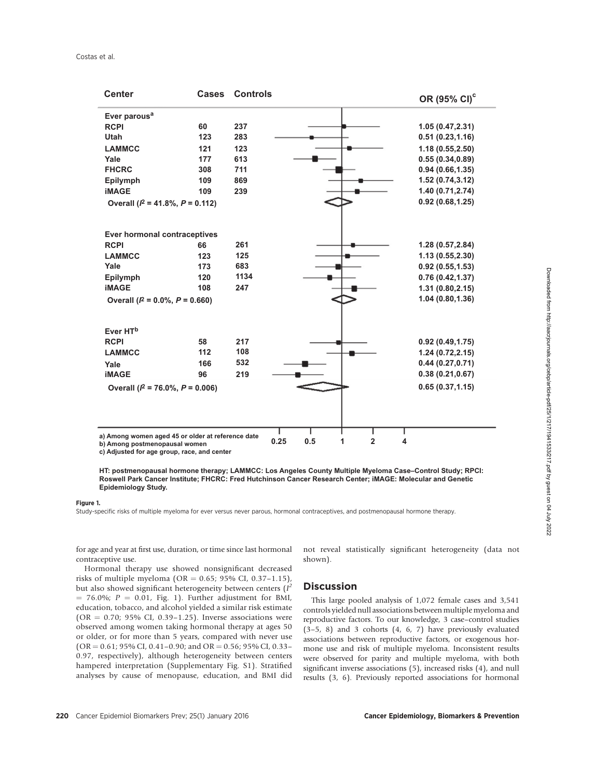| <b>Center</b>                                                                      | <b>Cases</b> | <b>Controls</b>                    | OR (95% CI) <sup>c</sup> |  |
|------------------------------------------------------------------------------------|--------------|------------------------------------|--------------------------|--|
| Ever parous <sup>a</sup>                                                           |              |                                    |                          |  |
| <b>RCPI</b>                                                                        | 60           | 237                                | 1.05(0.47, 2.31)         |  |
| <b>Utah</b>                                                                        | 123          | 283                                | 0.51(0.23, 1.16)         |  |
| <b>LAMMCC</b>                                                                      | 121          | 123                                | 1.18(0.55, 2.50)         |  |
| Yale                                                                               | 177          | 613                                | 0.55(0.34, 0.89)         |  |
| <b>FHCRC</b>                                                                       | 308          | 711                                | 0.94(0.66, 1.35)         |  |
| <b>Epilymph</b>                                                                    | 109          | 869                                | 1.52(0.74, 3.12)         |  |
| <b>iMAGE</b>                                                                       | 109          | 239                                | 1.40 (0.71,2.74)         |  |
| Overall ( $P = 41.8\%$ , $P = 0.112$ )                                             |              |                                    | 0.92(0.68, 1.25)         |  |
| <b>Ever hormonal contraceptives</b>                                                |              |                                    |                          |  |
| <b>RCPI</b>                                                                        | 66           | 261                                | 1.28(0.57, 2.84)         |  |
| <b>LAMMCC</b>                                                                      | 123          | 125                                | 1.13(0.55, 2.30)         |  |
| Yale                                                                               | 173          | 683                                | 0.92(0.55, 1.53)         |  |
| Epilymph                                                                           | 120          | 1134                               | 0.76(0.42, 1.37)         |  |
| <b>iMAGE</b>                                                                       | 108          | 247                                | 1.31(0.80, 2.15)         |  |
| 1.04(0.80, 1.36)<br>Overall ( $l^2$ = 0.0%, $P$ = 0.660)                           |              |                                    |                          |  |
|                                                                                    |              |                                    |                          |  |
| Ever HT <sup>b</sup>                                                               |              |                                    |                          |  |
| <b>RCPI</b>                                                                        | 58           | 217                                | 0.92(0.49, 1.75)         |  |
| <b>LAMMCC</b>                                                                      | 112          | 108                                | 1.24(0.72, 2.15)         |  |
| Yale                                                                               | 166          | 532                                | 0.44(0.27, 0.71)         |  |
| <b>iMAGE</b>                                                                       | 96           | 219                                | 0.38(0.21, 0.67)         |  |
| 0.65(0.37, 1.15)<br>Overall ( $P = 76.0\%$ , $P = 0.006$ )                         |              |                                    |                          |  |
|                                                                                    |              |                                    |                          |  |
| a) Among women aged 45 or older at reference date<br>b) Among postmenopausal women |              | 0.5<br>$\overline{2}$<br>0.25<br>1 | 4                        |  |

**c) Adjusted for age group, race, and center**

#### Figure 1.

Study-specific risks of multiple myeloma for ever versus never parous, hormonal contraceptives, and postmenopausal hormone therapy.

for age and year at first use, duration, or time since last hormonal contraceptive use.

Hormonal therapy use showed nonsignificant decreased risks of multiple myeloma (OR =  $0.65$ ; 95% CI, 0.37-1.15), but also showed significant heterogeneity between centers  $(I^2)$  $= 76.0\%$ ;  $P = 0.01$ , Fig. 1). Further adjustment for BMI, education, tobacco, and alcohol yielded a similar risk estimate (OR = 0.70; 95% CI, 0.39-1.25). Inverse associations were observed among women taking hormonal therapy at ages 50 or older, or for more than 5 years, compared with never use  $(OR = 0.61; 95\% CI, 0.41 - 0.90; and OR = 0.56; 95\% CI, 0.33 -$ 0.97, respectively), although heterogeneity between centers hampered interpretation (Supplementary Fig. S1). Stratified analyses by cause of menopause, education, and BMI did not reveal statistically significant heterogeneity (data not shown).

### **Discussion**

This large pooled analysis of 1,072 female cases and 3,541 controls yielded null associations between multiple myeloma and reproductive factors. To our knowledge, 3 case–control studies (3–5, 8) and 3 cohorts (4, 6, 7) have previously evaluated associations between reproductive factors, or exogenous hormone use and risk of multiple myeloma. Inconsistent results were observed for parity and multiple myeloma, with both significant inverse associations (5), increased risks (4), and null results (3, 6). Previously reported associations for hormonal

**HT: postmenopausal hormone therapy; LAMMCC: Los Angeles County Multiple Myeloma Case–Control Study; RPCI: Roswell Park Cancer Institute; FHCRC: Fred Hutchinson Cancer Research Center; iMAGE: Molecular and Genetic Epidemiology Study.**